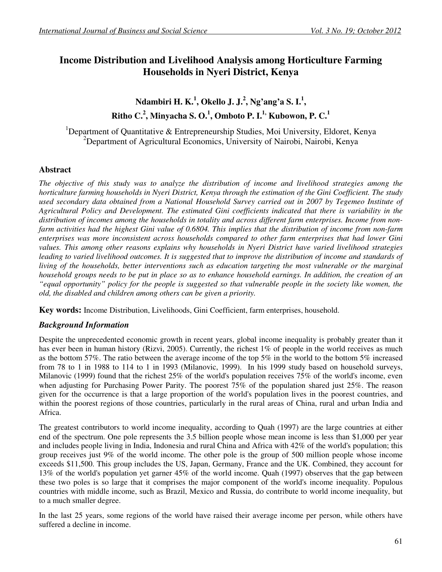# **Income Distribution and Livelihood Analysis among Horticulture Farming Households in Nyeri District, Kenya**

**Ndambiri H. K.<sup>1</sup> , Okello J. J.<sup>2</sup> , Ng'ang'a S. I.<sup>1</sup> , Ritho C.<sup>2</sup> , Minyacha S. O.<sup>1</sup> , Omboto P. I.1, Kubowon, P. C.<sup>1</sup>**

<sup>1</sup>Department of Quantitative & Entrepreneurship Studies, Moi University, Eldoret, Kenya <sup>2</sup>Department of Agricultural Economics, University of Nairobi, Nairobi, Kenya

## **Abstract**

*The objective of this study was to analyze the distribution of income and livelihood strategies among the horticulture farming households in Nyeri District, Kenya through the estimation of the Gini Coefficient. The study used secondary data obtained from a National Household Survey carried out in 2007 by Tegemeo Institute of Agricultural Policy and Development. The estimated Gini coefficients indicated that there is variability in the distribution of incomes among the households in totality and across different farm enterprises. Income from non- I farm activities had the highest Gini value of 0.6804. This implies that the distribution of income from non-farm enterprises was more inconsistent across households compared to other farm enterprises that had lower Gini values. This among other reasons explains why households in Nyeri District have varied livelihood strategies*  leading to varied livelihood outcomes. It is suggested that to improve the distribution of income and standards of *living of the households, better interventions such as education targeting the most vulnerable or the marginal household groups needs to be put in place so as to enhance household earnings. In addition, the creation of an "equal opportunity" policy for the people is suggested so that vulnerable people in the society like women, the old, the disabled and children among others can be given a priority.* 

**Key words:** Income Distribution, Livelihoods, Gini Coefficient, farm enterprises, household.

## *Background Information*

Despite the unprecedented economic growth in recent years, global income inequality is probably greater than it has ever been in human history (Rizvi, 2005). Currently, the richest 1% of people in the world receives as much as the bottom 57%. The ratio between the average income of the top 5% in the world to the bottom 5% increased from 78 to 1 in 1988 to 114 to 1 in 1993 (Milanovic, 1999). In his 1999 study based on household surveys, Milanovic (1999) found that the richest 25% of the world's population receives 75% of the world's income, even when adjusting for Purchasing Power Parity. The poorest 75% of the population shared just 25%. The reason given for the occurrence is that a large proportion of the world's population lives in the poorest countries, and within the poorest regions of those countries, particularly in the rural areas of China, rural and urban India and Africa.

The greatest contributors to world income inequality, according to Quah (1997) are the large countries at either end of the spectrum. One pole represents the 3.5 billion people whose mean income is less than \$1,000 per year and includes people living in India, Indonesia and rural China and Africa with 42% of the world's population; this group receives just 9% of the world income. The other pole is the group of 500 million people whose income exceeds \$11,500. This group includes the US, Japan, Germany, France and the UK. Combined, they account for 13% of the world's population yet garner 45% of the world income. Quah (1997) observes that the gap between these two poles is so large that it comprises the major component of the world's income inequality. Populous countries with middle income, such as Brazil, Mexico and Russia, do contribute to world income inequality, but to a much smaller degree.

In the last 25 years, some regions of the world have raised their average income per person, while others have suffered a decline in income.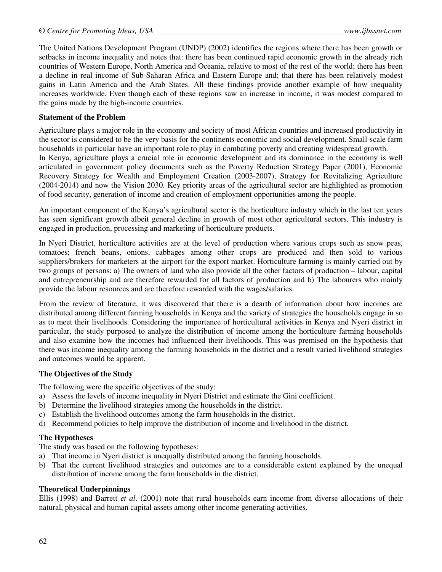The United Nations Development Program (UNDP) (2002) identifies the regions where there has been growth or setbacks in income inequality and notes that: there has been continued rapid economic growth in the already rich countries of Western Europe, North America and Oceania, relative to most of the rest of the world; there has been a decline in real income of Sub-Saharan Africa and Eastern Europe and; that there has been relatively modest gains in Latin America and the Arab States. All these findings provide another example of how inequality increases worldwide. Even though each of these regions saw an increase in income, it was modest compared to the gains made by the high-income countries.

## **Statement of the Problem**

Agriculture plays a major role in the economy and society of most African countries and increased productivity in the sector is considered to be the very basis for the continents economic and social development. Small-scale farm households in particular have an important role to play in combating poverty and creating widespread growth. In Kenya, agriculture plays a crucial role in economic development and its dominance in the economy is well articulated in government policy documents such as the Poverty Reduction Strategy Paper (2001), Economic Recovery Strategy for Wealth and Employment Creation (2003-2007), Strategy for Revitalizing Agriculture (2004-2014) and now the Vision 2030. Key priority areas of the agricultural sector are highlighted as promotion of food security, generation of income and creation of employment opportunities among the people.

An important component of the Kenya's agricultural sector is the horticulture industry which in the last ten years has seen significant growth albeit general decline in growth of most other agricultural sectors. This industry is engaged in production, processing and marketing of horticulture products.

In Nyeri District, horticulture activities are at the level of production where various crops such as snow peas, tomatoes; french beans, onions, cabbages among other crops are produced and then sold to various suppliers/brokers for marketers at the airport for the export market. Horticulture farming is mainly carried out by two groups of persons: a) The owners of land who also provide all the other factors of production – labour, capital and entrepreneurship and are therefore rewarded for all factors of production and b) The labourers who mainly provide the labour resources and are therefore rewarded with the wages/salaries.

From the review of literature, it was discovered that there is a dearth of information about how incomes are distributed among different farming households in Kenya and the variety of strategies the households engage in so as to meet their livelihoods. Considering the importance of horticultural activities in Kenya and Nyeri district in particular, the study purposed to analyze the distribution of income among the horticulture farming households and also examine how the incomes had influenced their livelihoods. This was premised on the hypothesis that there was income inequality among the farming households in the district and a result varied livelihood strategies and outcomes would be apparent.

#### **The Objectives of the Study**

The following were the specific objectives of the study:

- a) Assess the levels of income inequality in Nyeri District and estimate the Gini coefficient.
- b) Determine the livelihood strategies among the households in the district.
- c) Establish the livelihood outcomes among the farm households in the district.
- d) Recommend policies to help improve the distribution of income and livelihood in the district.

#### **The Hypotheses**

The study was based on the following hypotheses:

- a) That income in Nyeri district is unequally distributed among the farming households.
- b) That the current livelihood strategies and outcomes are to a considerable extent explained by the unequal distribution of income among the farm households in the district.

#### **Theoretical Underpinnings**

Ellis (1998) and Barrett *et al*. (2001) note that rural households earn income from diverse allocations of their natural, physical and human capital assets among other income generating activities.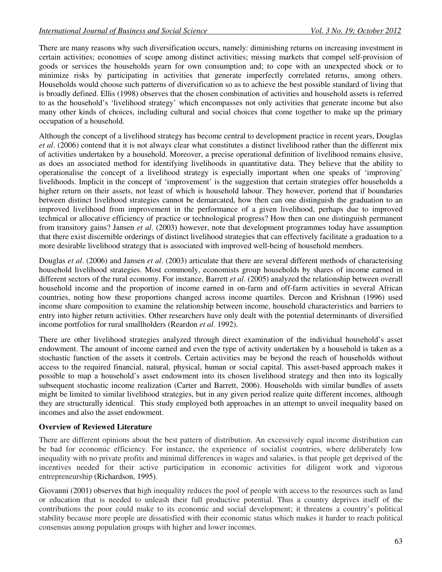There are many reasons why such diversification occurs, namely: diminishing returns on increasing investment in certain activities; economies of scope among distinct activities; missing markets that compel self-provision of goods or services the households yearn for own consumption and; to cope with an unexpected shock or to minimize risks by participating in activities that generate imperfectly correlated returns, among others. Households would choose such patterns of diversification so as to achieve the best possible standard of living that is broadly defined. Ellis (1998) observes that the chosen combination of activities and household assets is referred to as the household's 'livelihood strategy' which encompasses not only activities that generate income but also many other kinds of choices, including cultural and social choices that come together to make up the primary occupation of a household.

Although the concept of a livelihood strategy has become central to development practice in recent years, Douglas *et al*. (2006) contend that it is not always clear what constitutes a distinct livelihood rather than the different mix of activities undertaken by a household. Moreover, a precise operational definition of livelihood remains elusive, as does an associated method for identifying livelihoods in quantitative data. They believe that the ability to operationalise the concept of a livelihood strategy is especially important when one speaks of 'improving' livelihoods. Implicit in the concept of 'improvement' is the suggestion that certain strategies offer households a higher return on their assets, not least of which is household labour. They however, portend that if boundaries between distinct livelihood strategies cannot be demarcated, how then can one distinguish the graduation to an improved livelihood from improvement in the performance of a given livelihood, perhaps due to improved technical or allocative efficiency of practice or technological progress? How then can one distinguish permanent from transitory gains? Jansen *et al*. (2003) however, note that development programmes today have assumption that there exist discernible orderings of distinct livelihood strategies that can effectively facilitate a graduation to a more desirable livelihood strategy that is associated with improved well-being of household members.

Douglas *et al*. (2006) and Jansen *et al*. (2003) articulate that there are several different methods of characterising household livelihood strategies. Most commonly, economists group households by shares of income earned in different sectors of the rural economy. For instance, Barrett *et al*. (2005) analyzed the relationship between overall household income and the proportion of income earned in on-farm and off-farm activities in several African countries, noting how these proportions changed across income quartiles. Dercon and Krishnan (1996) used income share composition to examine the relationship between income, household characteristics and barriers to entry into higher return activities. Other researchers have only dealt with the potential determinants of diversified income portfolios for rural smallholders (Reardon *et al*. 1992).

There are other livelihood strategies analyzed through direct examination of the individual household's asset endowment. The amount of income earned and even the type of activity undertaken by a household is taken as a stochastic function of the assets it controls. Certain activities may be beyond the reach of households without access to the required financial, natural, physical, human or social capital. This asset-based approach makes it possible to map a household's asset endowment into its chosen livelihood strategy and then into its logically subsequent stochastic income realization (Carter and Barrett, 2006). Households with similar bundles of assets might be limited to similar livelihood strategies, but in any given period realize quite different incomes, although they are structurally identical. This study employed both approaches in an attempt to unveil inequality based on incomes and also the asset endowment.

#### **Overview of Reviewed Literature**

There are different opinions about the best pattern of distribution. An excessively equal income distribution can be bad for economic efficiency. For instance, the experience of socialist countries, where deliberately low inequality with no private profits and minimal differences in wages and salaries, is that people get deprived of the incentives needed for their active participation in economic activities for diligent work and vigorous entrepreneurship (Richardson, 1995).

Giovanni (2001) observes that high inequality reduces the pool of people with access to the resources such as land or education that is needed to unleash their full productive potential. Thus a country deprives itself of the contributions the poor could make to its economic and social development; it threatens a country's political stability because more people are dissatisfied with their economic status which makes it harder to reach political consensus among population groups with higher and lower incomes.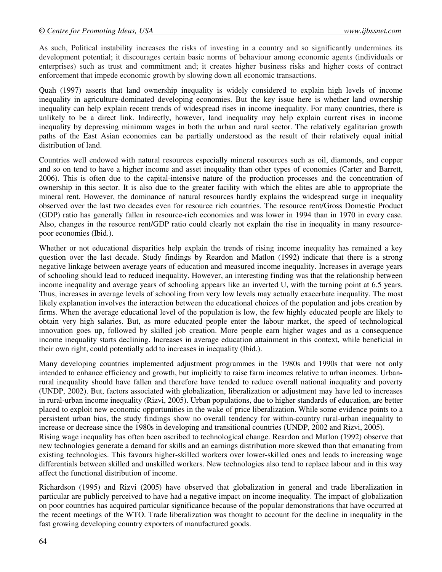As such, Political instability increases the risks of investing in a country and so significantly undermines its development potential; it discourages certain basic norms of behaviour among economic agents (individuals or enterprises) such as trust and commitment and; it creates higher business risks and higher costs of contract enforcement that impede economic growth by slowing down all economic transactions.

Quah (1997) asserts that land ownership inequality is widely considered to explain high levels of income inequality in agriculture-dominated developing economies. But the key issue here is whether land ownership inequality can help explain recent trends of widespread rises in income inequality. For many countries, there is unlikely to be a direct link. Indirectly, however, land inequality may help explain current rises in income inequality by depressing minimum wages in both the urban and rural sector. The relatively egalitarian growth paths of the East Asian economies can be partially understood as the result of their relatively equal initial distribution of land.

Countries well endowed with natural resources especially mineral resources such as oil, diamonds, and copper and so on tend to have a higher income and asset inequality than other types of economies (Carter and Barrett, 2006). This is often due to the capital-intensive nature of the production processes and the concentration of ownership in this sector. It is also due to the greater facility with which the elites are able to appropriate the mineral rent. However, the dominance of natural resources hardly explains the widespread surge in inequality observed over the last two decades even for resource rich countries. The resource rent/Gross Domestic Product (GDP) ratio has generally fallen in resource-rich economies and was lower in 1994 than in 1970 in every case. Also, changes in the resource rent/GDP ratio could clearly not explain the rise in inequality in many resourcepoor economies (Ibid.).

Whether or not educational disparities help explain the trends of rising income inequality has remained a key question over the last decade. Study findings by Reardon and Matlon (1992) indicate that there is a strong negative linkage between average years of education and measured income inequality. Increases in average years of schooling should lead to reduced inequality. However, an interesting finding was that the relationship between income inequality and average years of schooling appears like an inverted U, with the turning point at 6.5 years. Thus, increases in average levels of schooling from very low levels may actually exacerbate inequality. The most likely explanation involves the interaction between the educational choices of the population and jobs creation by firms. When the average educational level of the population is low, the few highly educated people are likely to obtain very high salaries. But, as more educated people enter the labour market, the speed of technological innovation goes up, followed by skilled job creation. More people earn higher wages and as a consequence income inequality starts declining. Increases in average education attainment in this context, while beneficial in their own right, could potentially add to increases in inequality (Ibid.).

Many developing countries implemented adjustment programmes in the 1980s and 1990s that were not only intended to enhance efficiency and growth, but implicitly to raise farm incomes relative to urban incomes. Urbanrural inequality should have fallen and therefore have tended to reduce overall national inequality and poverty (UNDP, 2002). But, factors associated with globalization, liberalization or adjustment may have led to increases in rural-urban income inequality (Rizvi, 2005). Urban populations, due to higher standards of education, are better placed to exploit new economic opportunities in the wake of price liberalization. While some evidence points to a persistent urban bias, the study findings show no overall tendency for within-country rural-urban inequality to increase or decrease since the 1980s in developing and transitional countries (UNDP, 2002 and Rizvi, 2005). Rising wage inequality has often been ascribed to technological change. Reardon and Matlon (1992) observe that new technologies generate a demand for skills and an earnings distribution more skewed than that emanating from existing technologies. This favours higher-skilled workers over lower-skilled ones and leads to increasing wage differentials between skilled and unskilled workers. New technologies also tend to replace labour and in this way affect the functional distribution of income.

Richardson (1995) and Rizvi (2005) have observed that globalization in general and trade liberalization in particular are publicly perceived to have had a negative impact on income inequality. The impact of globalization on poor countries has acquired particular significance because of the popular demonstrations that have occurred at the recent meetings of the WTO. Trade liberalization was thought to account for the decline in inequality in the fast growing developing country exporters of manufactured goods.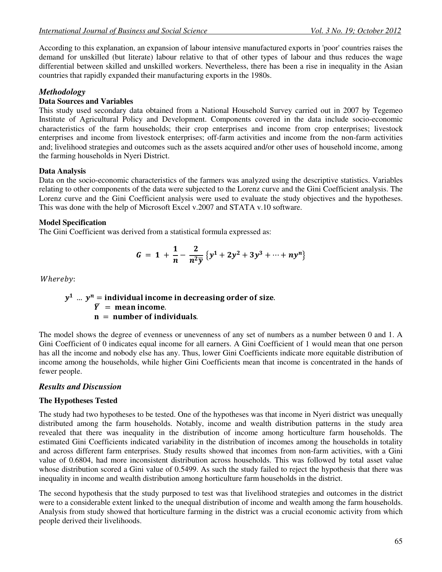According to this explanation, an expansion of labour intensive manufactured exports in 'poor' countries raises the demand for unskilled (but literate) labour relative to that of other types of labour and thus reduces the wage differential between skilled and unskilled workers. Nevertheless, there has been a rise in inequality in the Asian countries that rapidly expanded their manufacturing exports in the 1980s.

## *Methodology*

## **Data Sources and Variables**

This study used secondary data obtained from a National Household Survey carried out in 2007 by Tegemeo Institute of Agricultural Policy and Development. Components covered in the data include socio-economic characteristics of the farm households; their crop enterprises and income from crop enterprises; livestock enterprises and income from livestock enterprises; off-farm activities and income from the non-farm activities and; livelihood strategies and outcomes such as the assets acquired and/or other uses of household income, among the farming households in Nyeri District.

## **Data Analysis**

Data on the socio-economic characteristics of the farmers was analyzed using the descriptive statistics. Variables relating to other components of the data were subjected to the Lorenz curve and the Gini Coefficient analysis. The Lorenz curve and the Gini Coefficient analysis were used to evaluate the study objectives and the hypotheses. This was done with the help of Microsoft Excel v.2007 and STATA v.10 software.

### **Model Specification**

The Gini Coefficient was derived from a statistical formula expressed as:

$$
G = 1 + \frac{1}{n} - \frac{2}{n^2 \bar{y}} \left\{ y^1 + 2y^2 + 3y^3 + \dots + n y^n \right\}
$$

Whereby:

## $y^1$  …  $y^n =$  individual income in decreasing order of size.  $\overline{Y}$  = mean income.  $n =$  number of individuals.

The model shows the degree of evenness or unevenness of any set of numbers as a number between 0 and 1. A Gini Coefficient of 0 indicates equal income for all earners. A Gini Coefficient of 1 would mean that one person has all the income and nobody else has any. Thus, lower Gini Coefficients indicate more equitable distribution of income among the households, while higher Gini Coefficients mean that income is concentrated in the hands of fewer people.

## *Results and Discussion*

#### **The Hypotheses Tested**

The study had two hypotheses to be tested. One of the hypotheses was that income in Nyeri district was unequally distributed among the farm households. Notably, income and wealth distribution patterns in the study area revealed that there was inequality in the distribution of income among horticulture farm households. The estimated Gini Coefficients indicated variability in the distribution of incomes among the households in totality and across different farm enterprises. Study results showed that incomes from non-farm activities, with a Gini value of 0.6804, had more inconsistent distribution across households. This was followed by total asset value whose distribution scored a Gini value of 0.5499. As such the study failed to reject the hypothesis that there was inequality in income and wealth distribution among horticulture farm households in the district.

The second hypothesis that the study purposed to test was that livelihood strategies and outcomes in the district were to a considerable extent linked to the unequal distribution of income and wealth among the farm households. Analysis from study showed that horticulture farming in the district was a crucial economic activity from which people derived their livelihoods.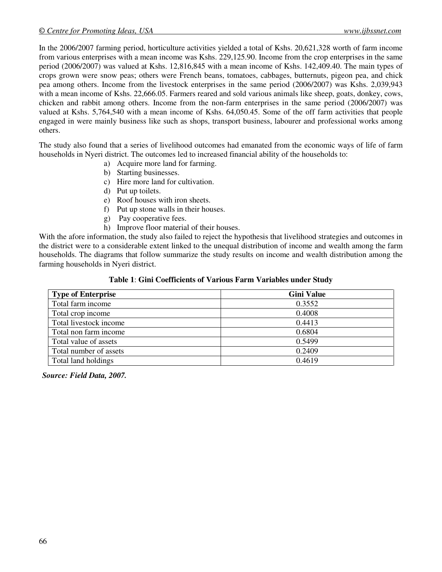In the 2006/2007 farming period, horticulture activities yielded a total of Kshs. 20,621,328 worth of farm income from various enterprises with a mean income was Kshs. 229,125.90. Income from the crop enterprises in the same period (2006/2007) was valued at Kshs. 12,816,845 with a mean income of Kshs. 142,409.40. The main types of crops grown were snow peas; others were French beans, tomatoes, cabbages, butternuts, pigeon pea, and chick pea among others. Income from the livestock enterprises in the same period (2006/2007) was Kshs. 2,039,943 with a mean income of Kshs. 22,666.05. Farmers reared and sold various animals like sheep, goats, donkey, cows, chicken and rabbit among others. Income from the non-farm enterprises in the same period (2006/2007) was valued at Kshs. 5,764,540 with a mean income of Kshs. 64,050.45. Some of the off farm activities that people engaged in were mainly business like such as shops, transport business, labourer and professional works among others.

The study also found that a series of livelihood outcomes had emanated from the economic ways of life of farm households in Nyeri district. The outcomes led to increased financial ability of the households to:

- a) Acquire more land for farming.
- b) Starting businesses.
- c) Hire more land for cultivation.
- d) Put up toilets.
- e) Roof houses with iron sheets.
- f) Put up stone walls in their houses.
- g) Pay cooperative fees.
- h) Improve floor material of their houses.

With the afore information, the study also failed to reject the hypothesis that livelihood strategies and outcomes in the district were to a considerable extent linked to the unequal distribution of income and wealth among the farm households. The diagrams that follow summarize the study results on income and wealth distribution among the farming households in Nyeri district.

#### **Table 1**: **Gini Coefficients of Various Farm Variables under Study**

| <b>Type of Enterprise</b> | <b>Gini Value</b> |
|---------------------------|-------------------|
| Total farm income         | 0.3552            |
| Total crop income         | 0.4008            |
| Total livestock income    | 0.4413            |
| Total non farm income     | 0.6804            |
| Total value of assets     | 0.5499            |
| Total number of assets    | 0.2409            |
| Total land holdings       | 0.4619            |

*Source: Field Data, 2007.*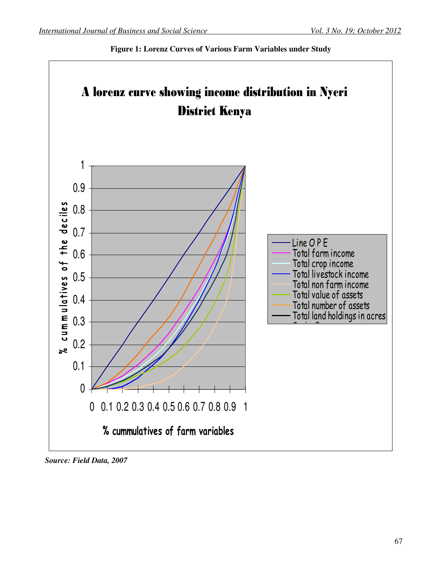

**Figure 1: Lorenz Curves of Various Farm Variables under Study**

 *Source: Field Data, 2007*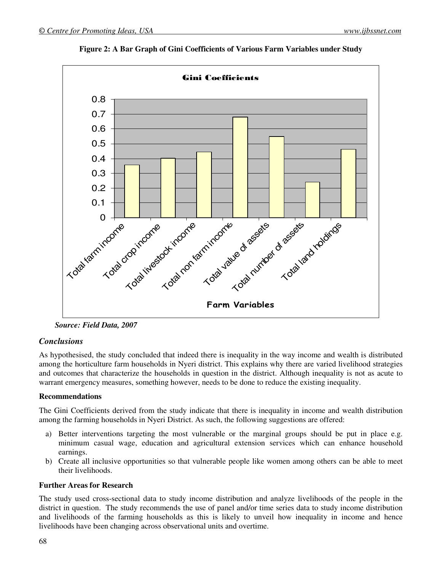

**Figure 2: A Bar Graph of Gini Coefficients of Various Farm Variables under Study** 

 *Source: Field Data, 2007* 

## *Conclusions*

As hypothesised, the study concluded that indeed there is inequality in the way income and wealth is distributed among the horticulture farm households in Nyeri district. This explains why there are varied livelihood strategies and outcomes that characterize the households in question in the district. Although inequality is not as acute to warrant emergency measures, something however, needs to be done to reduce the existing inequality.

## **Recommendations**

The Gini Coefficients derived from the study indicate that there is inequality in income and wealth distribution among the farming households in Nyeri District. As such, the following suggestions are offered:

- a) Better interventions targeting the most vulnerable or the marginal groups should be put in place e.g. minimum casual wage, education and agricultural extension services which can enhance household earnings.
- b) Create all inclusive opportunities so that vulnerable people like women among others can be able to meet their livelihoods.

#### **Further Areas for Research**

The study used cross-sectional data to study income distribution and analyze livelihoods of the people in the district in question. The study recommends the use of panel and/or time series data to study income distribution and livelihoods of the farming households as this is likely to unveil how inequality in income and hence livelihoods have been changing across observational units and overtime.